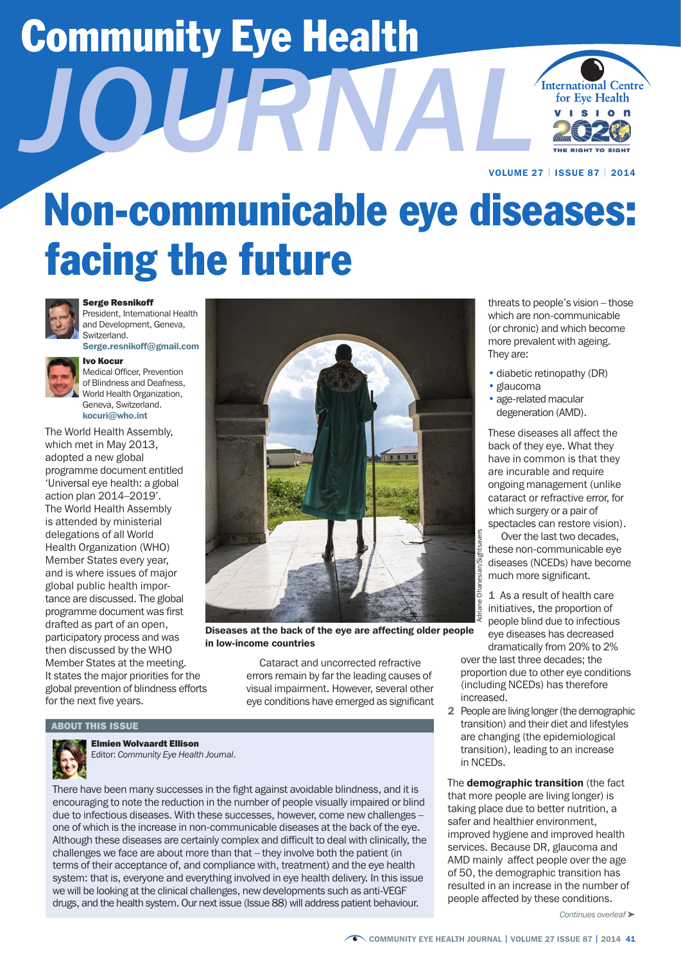# Community Eye Health



VOLUME 27 | ISSUE 87 | 2014

## Non-communicable eye diseases: facing the future



#### Serge Resnikoff

President, International Health and Development, Geneva, Switzerland.

Serge.resnikoff@gmail.com



Ivo Kocur

Medical Officer, Prevention of Blindness and Deafness, World Health Organization, Geneva, Switzerland. kocuri@who.int

 'Universal eye health: a global tance are discussed. The global programme document was first for the next five years. The World Health Assembly, which met in May 2013, adopted a new global programme document entitled action plan 2014–2019'. The World Health Assembly is attended by ministerial delegations of all World Health Organization (WHO) Member States every year, and is where issues of major global public health impordrafted as part of an open, Member States at the meeting.  $\qquad \qquad$  Cataract and uncorrected refractive



arance as part of an open,<br>participatory process and was **by the back of the eye are affecting older people** eye diseases has decreased participatory process and was<br>then discussed by the WHO in low-income countries in low-income countries dramatically from 20% to 2%<br>Member States at the meeting cataract and uncorrected refractive over the last three decad

It states the major priorities for the errors remain by far the leading causes of global prevention of blindness efforts visual impairment. However, several other eye conditions have emerged as significant

#### ABOUT THIS ISSUE



Elmien Wolvaardt Ellison Editor: *Community Eye Health Journal*.

drugs, and the health system. Our next issue (Issue 88) will address patient behaviour. people affected by these conditions. There have been many successes in the fight against avoidable blindness, and it is that more people are living longer) is encouraging to note the reduction in the number of people visually impaired or blind<br>due to infectious diseases. With these successes, however, come new challenges –<br>taking place due to better nutrition, a due to infectious diseases. With these successes, however, come new challenges – safer and healthier environment,<br>One of which is the increase in non-communicable diseases at the back of the eye. Improved hygiene and impro Although these diseases are certainly complex and difficult to deal with clinically, the services. Because DR, glaucoma and challenges we face are about more than that – they involve both the patient (in terms of their acceptance of, and compliance with, treatment) and the eye health system: that is, everyone and everything involved in eye health delivery. In this issue resulted in an increase in the number of<br>we will be looking at the clinical challenges, new developments such as anti-VEGF<br>directed by these conditions.

threats to people's vision – those which are non-communicable (or chronic) and which become more prevalent with ageing. They are:

- diabetic retinopathy (DR)
- glaucoma
- age-related macular degeneration (AMD).

 have in common is that they are incurable and require ongoing management (unlike cataract or refractive error, for These diseases all affect the back of they eye. What they which surgery or a pair of spectacles can restore vision).

Over the last two decades, these non-communicable eye diseases (NCEDs) have become much more significant.

Adriane Ohanesian/Sightsavers 1 As a result of health care initiatives, the proportion of people blind due to infectious

proportion due to other eye conditions (including NCEDs) has therefore increased.

2 People are living longer (the demographic transition) and their diet and lifestyles are changing (the epidemiological transition), leading to an increase in NCEDs.

The **demographic transition** (the fact AMD mainly affect people over the age of 50, the demographic transition has

*Continues overleaf* ➤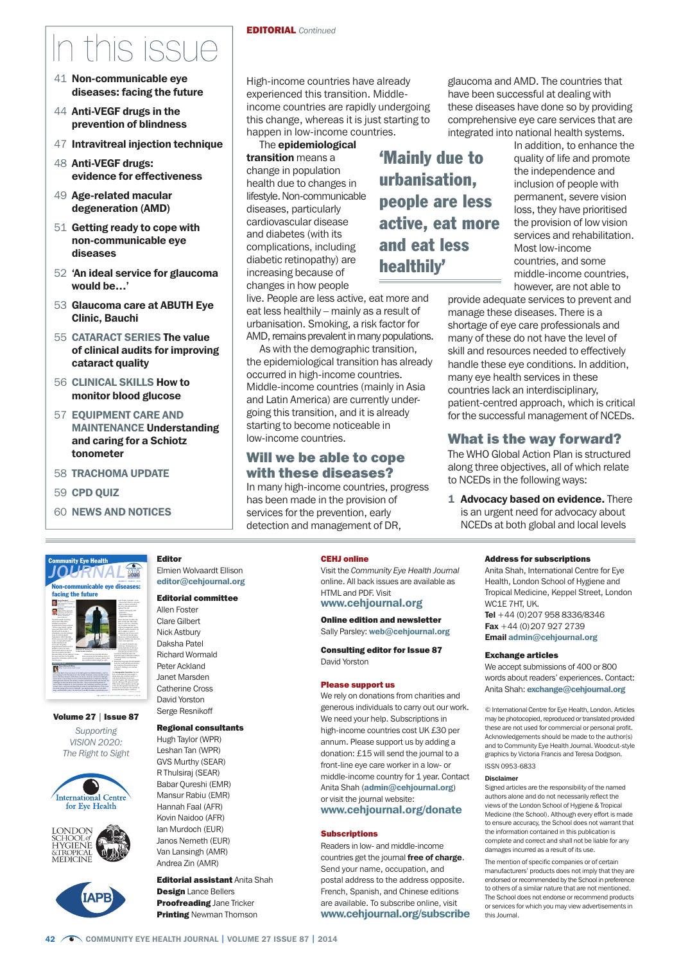### n this issue

- 41 Non-communicable eye diseases: facing the future
- 44 Anti-VEGF drugs in the prevention of blindness
- 47 Intravitreal injection technique
- 48 Anti-VEGF drugs: evidence for effectiveness
- 49 Age-related macular degeneration (AMD)
- 51 Getting ready to cope with non-communicable eye diseases
- 52 'An ideal service for glaucoma would be…'
- 53 Glaucoma care at ABUTH Eye Clinic, Bauchi
- 55 CATARACT SERIES The value of clinical audits for improving cataract quality
- 56 CLINICAL SKILLS How to monitor blood glucose
- 57 EQUIPMENT CARE AND MAINTENANCE Understanding and caring for a Schiotz tonometer

Editor

Allen Foster Clare Gilbert Nick Astbury Daksha Patel Richard Wormald Peter Ackland Janet Marsden Catherine Cross David Yorston Serge Resnikoff

Elmien Wolvaardt Ellison editor@cehjournal.org Editorial committee

Regional consultants Hugh Taylor (WPR) Leshan Tan (WPR) GVS Murthy (SEAR) R Thulsiraj (SEAR) Babar Qureshi (EMR) Mansur Rabiu (EMR) Hannah Faal (AFR) Kovin Naidoo (AFR) Ian Murdoch (EUR) Janos Nemeth (EUR) Van Lansingh (AMR) Andrea Zin (AMR)

- 58 TRACHOMA UPDATE
- 59 CPD QUIZ

Community Eye Health

ľ

60 NEWS AND NOTICES

High-income countries have already glaucoma and AMD. The countries that experienced this transition. Middle- have been successful at dealing with income countries are rapidly undergoing these diseases have done so by providing this change, whereas it is just starting to comprehensive eye care services that are

The **epidemiological** in addition, to enhance the health due to changes in **urbanisation,** inclusion of people with lifestyle. Non-communicable **people are less** permanent, severe vision diseases, particularly **people are less** loss, they have prioritised cardiovascular disease **active, eat more** the provision of low vision<br>and diabetes (with its **active, eat more** services and rehabilitation complications, including and eat less Most low-income diabetic retinopathy) are diabetic retinopathy) are  $\begin{array}{cc} \text{linear} & \text{linear} \\ \text{linear} & \text{linear} \end{array}$  countries, and some increasing because of  $\begin{array}{cc} \text{linear} & \text{linear} \\ \text{linear} & \text{linear} \end{array}$ changes in how people

live. People are less active, eat more and eat less healthily – mainly as a result of urbanisation. Smoking, a risk factor for AMD, remains prevalent in many populations.

As with the demographic transition, the epidemiological transition has already occurred in high-income countries. Middle-income countries (mainly in Asia and Latin America) are currently undergoing this transition, and it is already starting to become noticeable in low-income countries.

#### Will we be able to cope with these diseases?

In many high-income countries, progress has been made in the provision of services for the prevention, early detection and management of DR,

#### CEHJ online

Visit the *Community Eye Health Journal*  online. All back issues are available as HTML and PDF. Visit www.cehjournal.org

#### Online edition and newsletter Sally Parsley: web@cehjournal.org

Consulting editor for Issue 87 David Yorston

#### Please support us

We rely on donations from charities and generous individuals to carry out our work. We need your help. Subscriptions in high-income countries cost UK £30 per annum. Please support us by adding a donation: £15 will send the journal to a front-line eye care worker in a low- or middle-income country for 1 year. Contact Anita Shah (admin@cehjournal.org) or visit the journal website: www.cehjournal.org/donate

#### **Subscriptions**

Readers in low- and middle-income countries get the journal free of charge. Send your name, occupation, and postal address to the address opposite. French, Spanish, and Chinese editions are available. To subscribe online, visit www.cehjournal.org/subscribe

happen in low-income countries. integrated into national health systems.

**transition** means a **'Mainly due to** quality of life and promote change in population the independence and senvices and rehabilitation however, are not able to

provide adequate services to prevent and manage these diseases. There is a shortage of eye care professionals and many of these do not have the level of skill and resources needed to effectively handle these eye conditions. In addition, many eye health services in these countries lack an interdisciplinary, patient-centred approach, which is critical for the successful management of NCEDs.

#### What is the way forward?

The WHO Global Action Plan is structured along three objectives, all of which relate to NCEDs in the following ways:

1 Advocacy based on evidence. There is an urgent need for advocacy about NCEDs at both global and local levels

#### Address for subscriptions

Anita Shah, International Centre for Eye Health, London School of Hygiene and Tropical Medicine, Keppel Street, London WC1E 7HT, UK. Tel +44 (0)207 958 8336/8346 Fax  $+44$  (0) 207 927 2739

Email admin@cehjournal.org

#### Exchange articles

We accept submissions of 400 or 800 words about readers' experiences. Contact: Anita Shah: exchange@cehjournal.org

 these are not used for commercial or personal profit. © International Centre for Eye Health, London. Articles may be photocopied, reproduced or translated provided Acknowledgements should be made to the author(s) and to Community Eye Health Journal. Woodcut-style graphics by Victoria Francis and Teresa Dodgson. ISSN 0953-6833

#### Disclaimer

Signed articles are the responsibility of the named authors alone and do not necessarily reflect the views of the London School of Hygiene & Tropical Medicine (the School). Although every effort is made to ensure accuracy, the School does not warrant that the information contained in this publication is complete and correct and shall not be liable for any damages incurred as a result of its use.

The mention of specific companies or of certain manufacturers' products does not imply that they are endorsed or recommended by the School in preference to others of a similar nature that are not mentioned. The School does not endorse or recommend products or services for which you may view advertisements in this Journal.











**Proofreading Jane Tricker Printing Newman Thomson**